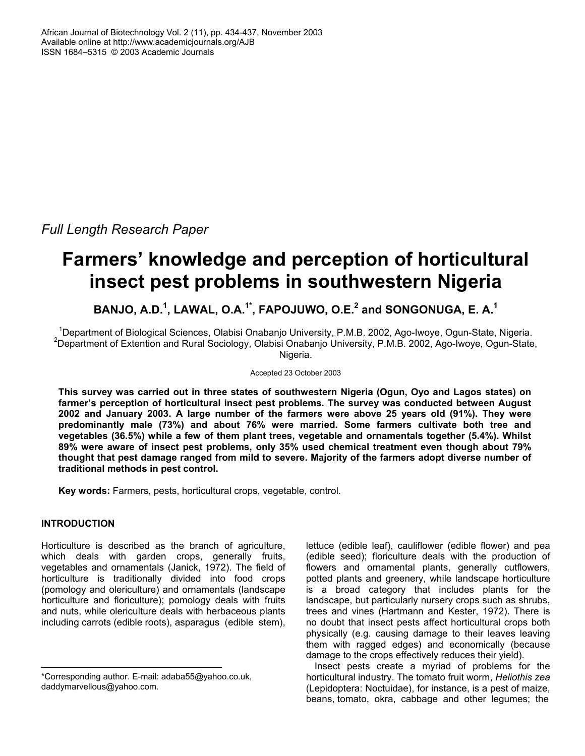*Full Length Research Paper* 

# **Farmers' knowledge and perception of horticultural insect pest problems in southwestern Nigeria**

BANJO, A.D.<sup>1</sup>, LAWAL, O.A.<sup>1\*</sup>, FAPOJUWO, O.E.<sup>2</sup> and SONGONUGA, E. A.<sup>1</sup>

<sup>1</sup> Department of Biological Sciences, Olabisi Onabanjo University, P.M.B. 2002, Ago-Iwoye, Ogun-State, Nigeria.<br><sup>2</sup> Department of Extention and Bural Secielary, Olabisi Onabanjo University, R.M.B. 2002, Ago-Iwoye, Ogun St <sup>2</sup>Department of Extention and Rural Sociology, Olabisi Onabanjo University, P.M.B. 2002, Ago-Iwoye, Ogun-State, Nigeria.

#### Accepted 23 October 2003

**This survey was carried out in three states of southwestern Nigeria (Ogun, Oyo and Lagos states) on farmer's perception of horticultural insect pest problems. The survey was conducted between August 2002 and January 2003. A large number of the farmers were above 25 years old (91%). They were predominantly male (73%) and about 76% were married. Some farmers cultivate both tree and vegetables (36.5%) while a few of them plant trees, vegetable and ornamentals together (5.4%). Whilst 89% were aware of insect pest problems, only 35% used chemical treatment even though about 79% thought that pest damage ranged from mild to severe. Majority of the farmers adopt diverse number of traditional methods in pest control.** 

**Key words:** Farmers, pests, horticultural crops, vegetable, control.

## **INTRODUCTION**

Horticulture is described as the branch of agriculture, which deals with garden crops, generally fruits, vegetables and ornamentals (Janick, 1972). The field of horticulture is traditionally divided into food crops (pomology and olericulture) and ornamentals (landscape horticulture and floriculture); pomology deals with fruits and nuts, while olericulture deals with herbaceous plants including carrots (edible roots), asparagus (edible stem), lettuce (edible leaf), cauliflower (edible flower) and pea (edible seed); floriculture deals with the production of flowers and ornamental plants, generally cutflowers, potted plants and greenery, while landscape horticulture is a broad category that includes plants for the landscape, but particularly nursery crops such as shrubs, trees and vines (Hartmann and Kester, 1972). There is no doubt that insect pests affect horticultural crops both physically (e.g. causing damage to their leaves leaving them with ragged edges) and economically (because damage to the crops effectively reduces their yield).

Insect pests create a myriad of problems for the horticultural industry. The tomato fruit worm, *Heliothis zea* (Lepidoptera: Noctuidae), for instance, is a pest of maize, beans, tomato, okra, cabbage and other legumes; the

<sup>\*</sup>Corresponding author. E-mail: adaba55@yahoo.co.uk, daddymarvellous@yahoo.com.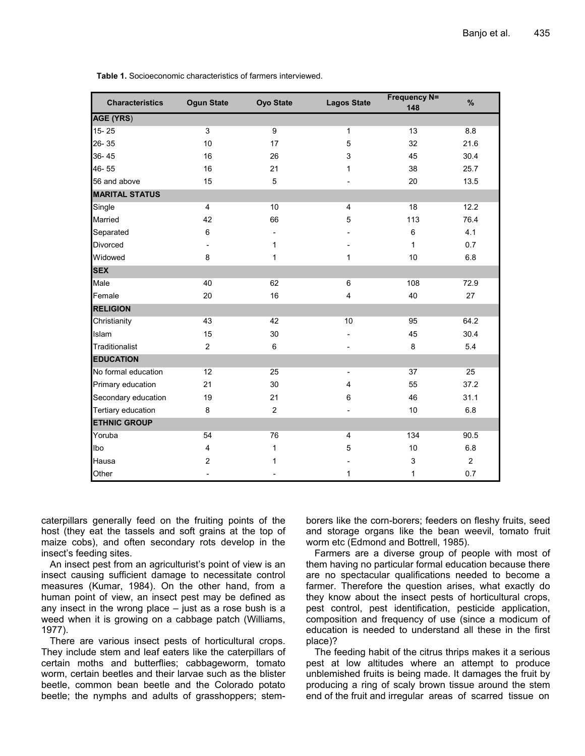| <b>Characteristics</b> | <b>Ogun State</b> | <b>Oyo State</b> | <b>Lagos State</b>       | <b>Frequency N=</b><br>148 | $\%$           |
|------------------------|-------------------|------------------|--------------------------|----------------------------|----------------|
| <b>AGE (YRS)</b>       |                   |                  |                          |                            |                |
| 15-25                  | 3                 | 9                | $\mathbf{1}$             | 13                         | 8.8            |
| 26-35                  | 10                | 17               | 5                        | 32                         | 21.6           |
| $36 - 45$              | 16                | 26               | 3                        | 45                         | 30.4           |
| 46-55                  | 16                | 21               | 1                        | 38                         | 25.7           |
| 56 and above           | 15                | 5                |                          | 20                         | 13.5           |
| <b>MARITAL STATUS</b>  |                   |                  |                          |                            |                |
| Single                 | $\overline{4}$    | 10               | $\overline{4}$           | 18                         | 12.2           |
| Married                | 42                | 66               | 5                        | 113                        | 76.4           |
| Separated              | 6                 |                  |                          | 6                          | 4.1            |
| <b>Divorced</b>        |                   | 1                |                          | $\mathbf{1}$               | 0.7            |
| Widowed                | 8                 | 1                | $\mathbf{1}$             | 10                         | 6.8            |
| <b>SEX</b>             |                   |                  |                          |                            |                |
| Male                   | 40                | 62               | 6                        | 108                        | 72.9           |
| Female                 | 20                | 16               | $\overline{4}$           | 40                         | 27             |
| <b>RELIGION</b>        |                   |                  |                          |                            |                |
| Christianity           | 43                | 42               | 10                       | 95                         | 64.2           |
| Islam                  | 15                | 30               |                          | 45                         | 30.4           |
| Traditionalist         | 2                 | 6                |                          | 8                          | 5.4            |
| <b>EDUCATION</b>       |                   |                  |                          |                            |                |
| No formal education    | 12                | 25               | $\overline{\phantom{a}}$ | 37                         | 25             |
| Primary education      | 21                | 30               | $\overline{4}$           | 55                         | 37.2           |
| Secondary education    | 19                | 21               | 6                        | 46                         | 31.1           |
| Tertiary education     | 8                 | 2                |                          | 10                         | 6.8            |
| <b>ETHNIC GROUP</b>    |                   |                  |                          |                            |                |
| Yoruba                 | 54                | 76               | 4                        | 134                        | 90.5           |
| Ibo                    | 4                 | 1                | 5                        | 10                         | 6.8            |
| Hausa                  | $\overline{c}$    | 1                |                          | 3                          | $\overline{2}$ |
| Other                  |                   |                  | $\mathbf{1}$             | 1                          | 0.7            |

 **Table 1.** Socioeconomic characteristics of farmers interviewed.

caterpillars generally feed on the fruiting points of the host (they eat the tassels and soft grains at the top of maize cobs), and often secondary rots develop in the insect's feeding sites.

An insect pest from an agriculturist's point of view is an insect causing sufficient damage to necessitate control measures (Kumar, 1984). On the other hand, from a human point of view, an insect pest may be defined as any insect in the wrong place – just as a rose bush is a weed when it is growing on a cabbage patch (Williams, 1977).

There are various insect pests of horticultural crops. They include stem and leaf eaters like the caterpillars of certain moths and butterflies; cabbageworm, tomato worm, certain beetles and their larvae such as the blister beetle, common bean beetle and the Colorado potato beetle; the nymphs and adults of grasshoppers; stemborers like the corn-borers; feeders on fleshy fruits, seed and storage organs like the bean weevil, tomato fruit worm etc (Edmond and Bottrell, 1985).

Farmers are a diverse group of people with most of them having no particular formal education because there are no spectacular qualifications needed to become a farmer. Therefore the question arises, what exactly do they know about the insect pests of horticultural crops, pest control, pest identification, pesticide application, composition and frequency of use (since a modicum of education is needed to understand all these in the first place)?

The feeding habit of the citrus thrips makes it a serious pest at low altitudes where an attempt to produce unblemished fruits is being made. It damages the fruit by producing a ring of scaly brown tissue around the stem end of the fruit and irregular areas of scarred tissue on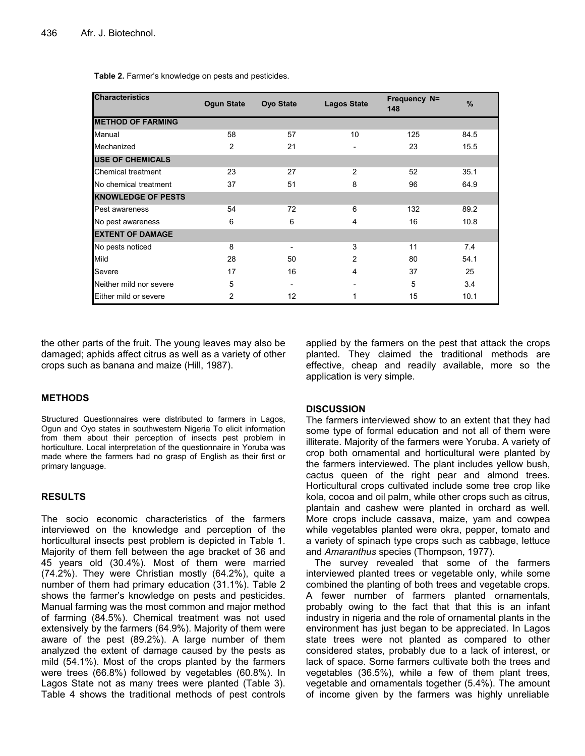| <b>Characteristics</b>    | <b>Ogun State</b> | <b>Oyo State</b>         | <b>Lagos State</b>           | Frequency N=<br>148 | %    |
|---------------------------|-------------------|--------------------------|------------------------------|---------------------|------|
| <b>METHOD OF FARMING</b>  |                   |                          |                              |                     |      |
| Manual                    | 58                | 57                       | 10                           | 125                 | 84.5 |
| Mechanized                | 2                 | 21                       | $\qquad \qquad \blacksquare$ | 23                  | 15.5 |
| <b>USE OF CHEMICALS</b>   |                   |                          |                              |                     |      |
| Chemical treatment        | 23                | 27                       | 2                            | 52                  | 35.1 |
| No chemical treatment     | 37                | 51                       | 8                            | 96                  | 64.9 |
| <b>KNOWLEDGE OF PESTS</b> |                   |                          |                              |                     |      |
| Pest awareness            | 54                | 72                       | 6                            | 132                 | 89.2 |
| No pest awareness         | 6                 | 6                        | 4                            | 16                  | 10.8 |
| <b>EXTENT OF DAMAGE</b>   |                   |                          |                              |                     |      |
| No pests noticed          | 8                 | $\overline{\phantom{a}}$ | 3                            | 11                  | 7.4  |
| Mild                      | 28                | 50                       | 2                            | 80                  | 54.1 |
| Severe                    | 17                | 16                       | 4                            | 37                  | 25   |
| Neither mild nor severe   | 5                 |                          |                              | 5                   | 3.4  |
| Either mild or severe     | 2                 | 12                       | 1                            | 15                  | 10.1 |

 **Table 2.** Farmer's knowledge on pests and pesticides.

the other parts of the fruit. The young leaves may also be damaged; aphids affect citrus as well as a variety of other crops such as banana and maize (Hill, 1987).

## **METHODS**

Structured Questionnaires were distributed to farmers in Lagos, Ogun and Oyo states in southwestern Nigeria To elicit information from them about their perception of insects pest problem in horticulture. Local interpretation of the questionnaire in Yoruba was made where the farmers had no grasp of English as their first or primary language.

## **RESULTS**

The socio economic characteristics of the farmers interviewed on the knowledge and perception of the horticultural insects pest problem is depicted in Table 1. Majority of them fell between the age bracket of 36 and 45 years old (30.4%). Most of them were married (74.2%). They were Christian mostly (64.2%), quite a number of them had primary education (31.1%). Table 2 shows the farmer's knowledge on pests and pesticides. Manual farming was the most common and major method of farming (84.5%). Chemical treatment was not used extensively by the farmers (64.9%). Majority of them were aware of the pest (89.2%). A large number of them analyzed the extent of damage caused by the pests as mild (54.1%). Most of the crops planted by the farmers were trees (66.8%) followed by vegetables (60.8%). In Lagos State not as many trees were planted (Table 3). Table 4 shows the traditional methods of pest controls

applied by the farmers on the pest that attack the crops planted. They claimed the traditional methods are effective, cheap and readily available, more so the application is very simple.

## **DISCUSSION**

The farmers interviewed show to an extent that they had some type of formal education and not all of them were illiterate. Majority of the farmers were Yoruba. A variety of crop both ornamental and horticultural were planted by the farmers interviewed. The plant includes yellow bush, cactus queen of the right pear and almond trees. Horticultural crops cultivated include some tree crop like kola, cocoa and oil palm, while other crops such as citrus, plantain and cashew were planted in orchard as well. More crops include cassava, maize, yam and cowpea while vegetables planted were okra, pepper, tomato and a variety of spinach type crops such as cabbage, lettuce and *Amaranthus* species (Thompson, 1977).

The survey revealed that some of the farmers interviewed planted trees or vegetable only, while some combined the planting of both trees and vegetable crops. A fewer number of farmers planted ornamentals, probably owing to the fact that that this is an infant industry in nigeria and the role of ornamental plants in the environment has just began to be appreciated. In Lagos state trees were not planted as compared to other considered states, probably due to a lack of interest, or lack of space. Some farmers cultivate both the trees and vegetables (36.5%), while a few of them plant trees, vegetable and ornamentals together (5.4%). The amount of income given by the farmers was highly unreliable